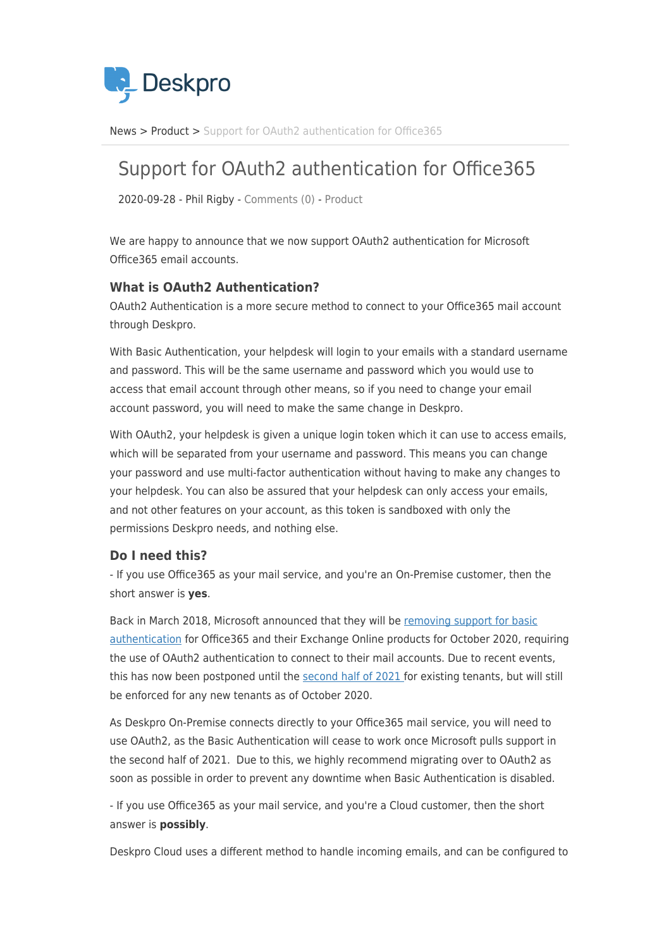

[News](https://support.deskpro.com/zh-CN/news) > [Product](https://support.deskpro.com/zh-CN/news/product) > [Support for OAuth2 authentication for Office365](https://support.deskpro.com/zh-CN/news/posts/support-for-oauth2-authentication-for-office365)

## Support for OAuth2 authentication for Office365

2020-09-28 - Phil Rigby - [Comments \(0\)](#page--1-0) - [Product](https://support.deskpro.com/zh-CN/news/product)

We are happy to announce that we now support OAuth2 authentication for Microsoft Office365 email accounts.

## **What is OAuth2 Authentication?**

OAuth2 Authentication is a more secure method to connect to your Office365 mail account through Deskpro.

With Basic Authentication, your helpdesk will login to your emails with a standard username and password. This will be the same username and password which you would use to access that email account through other means, so if you need to change your email account password, you will need to make the same change in Deskpro.

With OAuth2, your helpdesk is given a unique login token which it can use to access emails, which will be separated from your username and password. This means you can change your password and use multi-factor authentication without having to make any changes to your helpdesk. You can also be assured that your helpdesk can only access your emails, and not other features on your account, as this token is sandboxed with only the permissions Deskpro needs, and nothing else.

## **Do I need this?**

- If you use Office365 as your mail service, and you're an On-Premise customer, then the short answer is **yes**.

Back in March 2018, Microsoft announced that they will be [removing support for basic](https://techcommunity.microsoft.com/t5/exchange-team-blog/upcoming-changes-to-exchange-web-services-ews-api-for-office-365/ba-p/608055) [authentication](https://techcommunity.microsoft.com/t5/exchange-team-blog/upcoming-changes-to-exchange-web-services-ews-api-for-office-365/ba-p/608055) for Office365 and their Exchange Online products for October 2020, requiring the use of OAuth2 authentication to connect to their mail accounts. Due to recent events, this has now been postponed until the [second half of 2021](https://techcommunity.microsoft.com/t5/exchange-team-blog/basic-authentication-and-exchange-online-april-2020-update/ba-p/1275508) for existing tenants, but will still be enforced for any new tenants as of October 2020.

As Deskpro On-Premise connects directly to your Office365 mail service, you will need to use OAuth2, as the Basic Authentication will cease to work once Microsoft pulls support in the second half of 2021. Due to this, we highly recommend migrating over to OAuth2 as soon as possible in order to prevent any downtime when Basic Authentication is disabled.

- If you use Office365 as your mail service, and you're a Cloud customer, then the short answer is **possibly**.

Deskpro Cloud uses a different method to handle incoming emails, and can be configured to